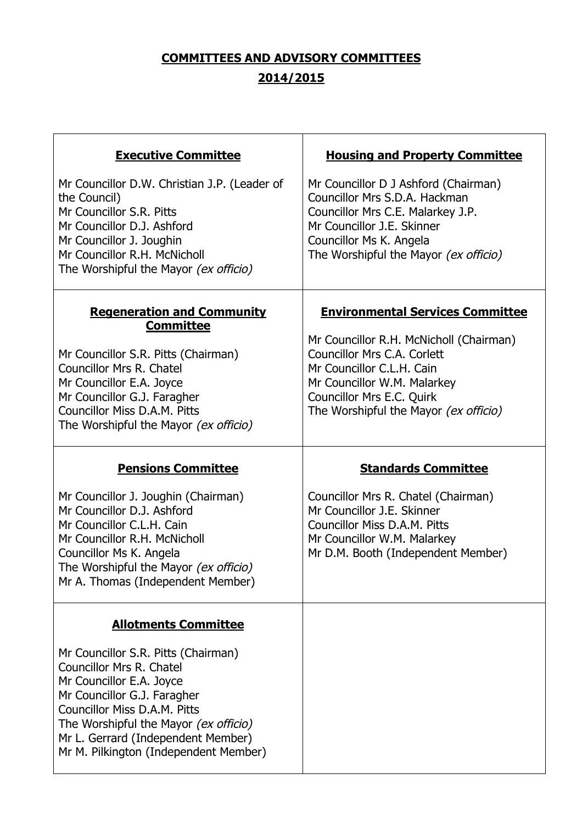# **COMMITTEES AND ADVISORY COMMITTEES 2014/2015**

| <b>Executive Committee</b>                                                                                                                                                                                                              | <b>Housing and Property Committee</b>                                                                                                                                                                        |
|-----------------------------------------------------------------------------------------------------------------------------------------------------------------------------------------------------------------------------------------|--------------------------------------------------------------------------------------------------------------------------------------------------------------------------------------------------------------|
| Mr Councillor D.W. Christian J.P. (Leader of<br>the Council)<br>Mr Councillor S.R. Pitts<br>Mr Councillor D.J. Ashford<br>Mr Councillor J. Joughin<br>Mr Councillor R.H. McNicholl<br>The Worshipful the Mayor (ex officio)             | Mr Councillor D J Ashford (Chairman)<br>Councillor Mrs S.D.A. Hackman<br>Councillor Mrs C.E. Malarkey J.P.<br>Mr Councillor J.E. Skinner<br>Councillor Ms K. Angela<br>The Worshipful the Mayor (ex officio) |
| <b>Regeneration and Community</b><br><b>Committee</b>                                                                                                                                                                                   | <b>Environmental Services Committee</b>                                                                                                                                                                      |
| Mr Councillor S.R. Pitts (Chairman)<br><b>Councillor Mrs R. Chatel</b><br>Mr Councillor E.A. Joyce<br>Mr Councillor G.J. Faragher<br><b>Councillor Miss D.A.M. Pitts</b><br>The Worshipful the Mayor (ex officio)                       | Mr Councillor R.H. McNicholl (Chairman)<br>Councillor Mrs C.A. Corlett<br>Mr Councillor C.L.H. Cain<br>Mr Councillor W.M. Malarkey<br>Councillor Mrs E.C. Quirk<br>The Worshipful the Mayor (ex officio)     |
|                                                                                                                                                                                                                                         |                                                                                                                                                                                                              |
| <b>Pensions Committee</b>                                                                                                                                                                                                               | <b>Standards Committee</b>                                                                                                                                                                                   |
| Mr Councillor J. Joughin (Chairman)<br>Mr Councillor D.J. Ashford<br>Mr Councillor C.L.H. Cain<br>Mr Councillor R.H. McNicholl<br>Councillor Ms K. Angela<br>The Worshipful the Mayor (ex officio)<br>Mr A. Thomas (Independent Member) | Councillor Mrs R. Chatel (Chairman)<br>Mr Councillor J.E. Skinner<br>Councillor Miss D.A.M. Pitts<br>Mr Councillor W.M. Malarkey<br>Mr D.M. Booth (Independent Member)                                       |
| <b>Allotments Committee</b>                                                                                                                                                                                                             |                                                                                                                                                                                                              |